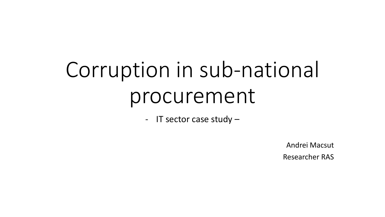# Corruption in sub-national procurement

- IT sector case study –

Andrei Macsut Researcher RAS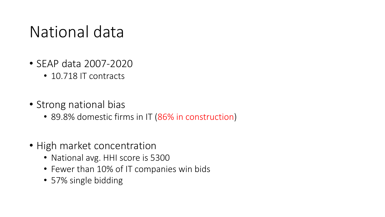### National data

- SEAP data 2007-2020
	- 10.718 IT contracts
- Strong national bias
	- 89.8% domestic firms in IT (86% in construction)
- High market concentration
	- National avg. HHI score is 5300
	- Fewer than 10% of IT companies win bids
	- 57% single bidding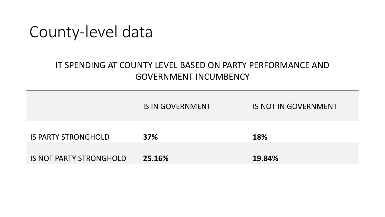#### County-level data

#### IT SPENDING AT COUNTY LEVEL BASED ON PARTY PERFORMANCE AND GOVERNMENT INCUMBENCY

|                                | <b>IS IN GOVERNMENT</b> | <b>IS NOT IN GOVERNMENT</b> |
|--------------------------------|-------------------------|-----------------------------|
| <b>IS PARTY STRONGHOLD</b>     | <b>37%</b>              | <b>18%</b>                  |
| <b>IS NOT PARTY STRONGHOLD</b> | 25.16%                  | 19.84%                      |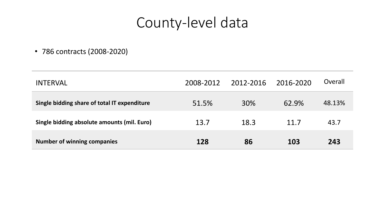#### County-level data

• 786 contracts (2008-2020)

| <b>INTERVAL</b>                              | 2008-2012 | 2012-2016 | 2016-2020 | Overall |
|----------------------------------------------|-----------|-----------|-----------|---------|
| Single bidding share of total IT expenditure | 51.5%     | 30%       | 62.9%     | 48.13%  |
| Single bidding absolute amounts (mil. Euro)  | 13.7      | 18.3      | 11.7      | 43.7    |
| <b>Number of winning companies</b>           | 128       | 86        | 103       | 243     |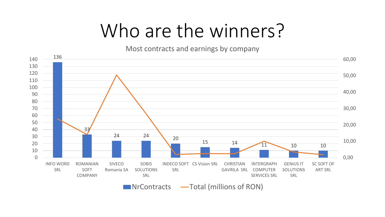## Who are the winners?

Most contracts and earnings by company



 $\blacksquare$  NrContracts  $\blacksquare$  Total (millions of RON)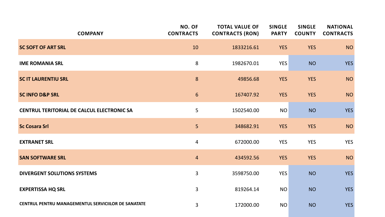| <b>COMPANY</b>                                      | NO. OF<br><b>CONTRACTS</b> | <b>TOTAL VALUE OF</b><br><b>CONTRACTS (RON)</b> | <b>SINGLE</b><br><b>PARTY</b> | <b>SINGLE</b><br><b>COUNTY</b> | <b>NATIONAL</b><br><b>CONTRACTS</b> |
|-----------------------------------------------------|----------------------------|-------------------------------------------------|-------------------------------|--------------------------------|-------------------------------------|
| <b>SC SOFT OF ART SRL</b>                           | 10                         | 1833216.61                                      | <b>YES</b>                    | <b>YES</b>                     | <b>NO</b>                           |
| <b>IME ROMANIA SRL</b>                              | 8                          | 1982670.01                                      | <b>YES</b>                    | <b>NO</b>                      | <b>YES</b>                          |
| <b>SC IT LAURENTIU SRL</b>                          | 8                          | 49856.68                                        | <b>YES</b>                    | <b>YES</b>                     | <b>NO</b>                           |
| <b>SC INFO D&amp;P SRL</b>                          | $6\phantom{1}$             | 167407.92                                       | <b>YES</b>                    | <b>YES</b>                     | <b>NO</b>                           |
| <b>CENTRUL TERITORIAL DE CALCUL ELECTRONIC SA</b>   | 5                          | 1502540.00                                      | <b>NO</b>                     | <b>NO</b>                      | <b>YES</b>                          |
| <b>Sc Cosara Srl</b>                                | 5 <sup>1</sup>             | 348682.91                                       | <b>YES</b>                    | <b>YES</b>                     | <b>NO</b>                           |
| <b>EXTRANET SRL</b>                                 | 4                          | 672000.00                                       | <b>YES</b>                    | <b>YES</b>                     | <b>YES</b>                          |
| <b>SAN SOFTWARE SRL</b>                             | $\overline{4}$             | 434592.56                                       | <b>YES</b>                    | <b>YES</b>                     | <b>NO</b>                           |
| <b>DIVERGENT SOLUTIONS SYSTEMS</b>                  | 3                          | 3598750.00                                      | <b>YES</b>                    | <b>NO</b>                      | <b>YES</b>                          |
| <b>EXPERTISSA HQ SRL</b>                            | 3                          | 819264.14                                       | <b>NO</b>                     | <b>NO</b>                      | <b>YES</b>                          |
| CENTRUL PENTRU MANAGEMENTUL SERVICIILOR DE SANATATE | 3                          | 172000.00                                       | <b>NO</b>                     | <b>NO</b>                      | <b>YES</b>                          |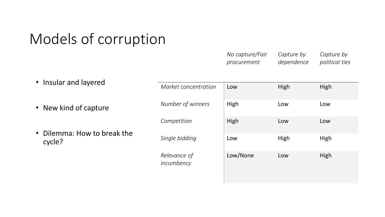#### Models of corruption

| No capture/Fair | Capture by | Capture by     |
|-----------------|------------|----------------|
| procurement     | dependence | political ties |

• Insular and layered • New kind of capture • Dilemma: How to break the cycle? *Market concentration* Low High High High *Number of winners* | High **Low** Low Low **Competition** | High Low Low Low **Single bidding Low High** High **High** *Relevance of incumbency* Low/None Low High